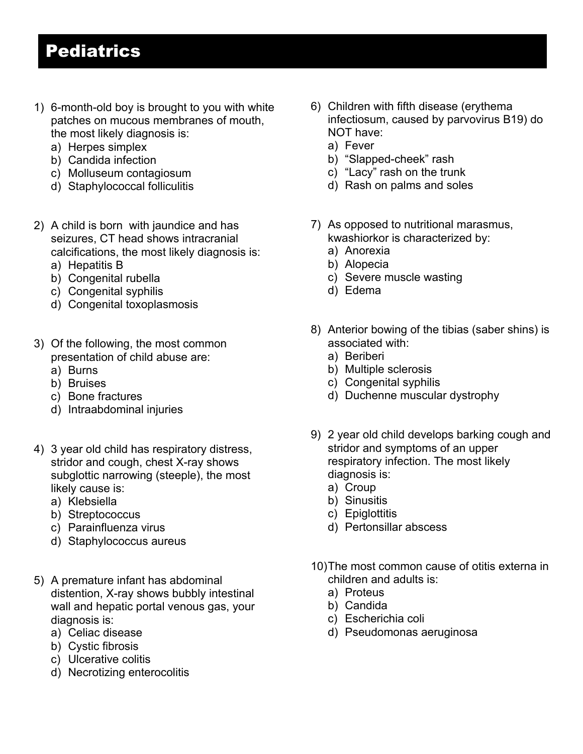## Pediatrics

- 1) 6-month-old boy is brought to you with white patches on mucous membranes of mouth, the most likely diagnosis is:
	- a) Herpes simplex
	- b) Candida infection
	- c) Molluseum contagiosum
	- d) Staphylococcal folliculitis
- 2) A child is born with jaundice and has seizures, CT head shows intracranial calcifications, the most likely diagnosis is:
	- a) Hepatitis B
	- b) Congenital rubella
	- c) Congenital syphilis
	- d) Congenital toxoplasmosis
- 3) Of the following, the most common presentation of child abuse are:
	- a) Burns
	- b) Bruises
	- c) Bone fractures
	- d) Intraabdominal injuries
- 4) 3 year old child has respiratory distress, stridor and cough, chest X-ray shows subglottic narrowing (steeple), the most likely cause is:
	- a) Klebsiella
	- b) Streptococcus
	- c) Parainfluenza virus
	- d) Staphylococcus aureus
- 5) A premature infant has abdominal distention, X-ray shows bubbly intestinal wall and hepatic portal venous gas, your diagnosis is:
	- a) Celiac disease
	- b) Cystic fibrosis
	- c) Ulcerative colitis
	- d) Necrotizing enterocolitis
- 6) Children with fifth disease (erythema infectiosum, caused by parvovirus B19) do NOT have:
	- a) Fever
	- b) "Slapped-cheek" rash
	- c) "Lacy" rash on the trunk
	- d) Rash on palms and soles
- 7) As opposed to nutritional marasmus, kwashiorkor is characterized by:
	- a) Anorexia
	- b) Alopecia
	- c) Severe muscle wasting
	- d) Edema
- 8) Anterior bowing of the tibias (saber shins) is associated with:
	- a) Beriberi
	- b) Multiple sclerosis
	- c) Congenital syphilis
	- d) Duchenne muscular dystrophy
- 9) 2 year old child develops barking cough and stridor and symptoms of an upper respiratory infection. The most likely diagnosis is:
	- a) Croup
	- b) Sinusitis
	- c) Epiglottitis
	- d) Pertonsillar abscess
- 10)The most common cause of otitis externa in children and adults is:
	- a) Proteus
	- b) Candida
	- c) Escherichia coli
	- d) Pseudomonas aeruginosa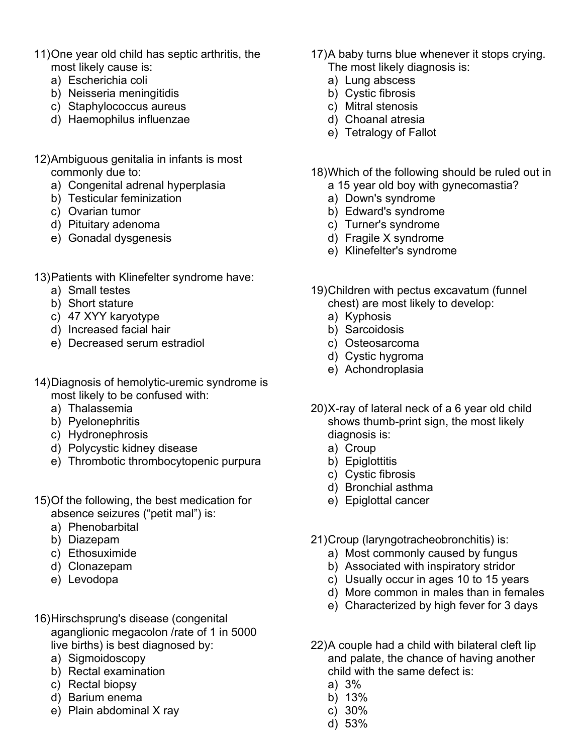- 11)One year old child has septic arthritis, the most likely cause is:
	- a) Escherichia coli
	- b) Neisseria meningitidis
	- c) Staphylococcus aureus
	- d) Haemophilus influenzae
- 12)Ambiguous genitalia in infants is most commonly due to:
	- a) Congenital adrenal hyperplasia
	- b) Testicular feminization
	- c) Ovarian tumor
	- d) Pituitary adenoma
	- e) Gonadal dysgenesis
- 13)Patients with Klinefelter syndrome have:
	- a) Small testes
	- b) Short stature
	- c) 47 XYY karyotype
	- d) Increased facial hair
	- e) Decreased serum estradiol
- 14)Diagnosis of hemolytic-uremic syndrome is most likely to be confused with:
	- a) Thalassemia
	- b) Pyelonephritis
	- c) Hydronephrosis
	- d) Polycystic kidney disease
	- e) Thrombotic thrombocytopenic purpura
- 15)Of the following, the best medication for absence seizures ("petit mal") is:
	- a) Phenobarbital
	- b) Diazepam
	- c) Ethosuximide
	- d) Clonazepam
	- e) Levodopa
- 16)Hirschsprung's disease (congenital aganglionic megacolon /rate of 1 in 5000 live births) is best diagnosed by:
	- a) Sigmoidoscopy
	- b) Rectal examination
	- c) Rectal biopsy
	- d) Barium enema
	- e) Plain abdominal X ray
- 17)A baby turns blue whenever it stops crying. The most likely diagnosis is:
	- a) Lung abscess
	- b) Cystic fibrosis
	- c) Mitral stenosis
	- d) Choanal atresia
	- e) Tetralogy of Fallot
- 18)Which of the following should be ruled out in
	- a 15 year old boy with gynecomastia?
	- a) Down's syndrome
	- b) Edward's syndrome
	- c) Turner's syndrome
	- d) Fragile X syndrome
	- e) Klinefelter's syndrome
- 19)Children with pectus excavatum (funnel chest) are most likely to develop:
	- a) Kyphosis
	- b) Sarcoidosis
	- c) Osteosarcoma
	- d) Cystic hygroma
	- e) Achondroplasia
- 20)X-ray of lateral neck of a 6 year old child shows thumb-print sign, the most likely diagnosis is:
	- a) Croup
	- b) Epiglottitis
	- c) Cystic fibrosis
	- d) Bronchial asthma
	- e) Epiglottal cancer
- 21)Croup (laryngotracheobronchitis) is:
	- a) Most commonly caused by fungus
	- b) Associated with inspiratory stridor
	- c) Usually occur in ages 10 to 15 years
	- d) More common in males than in females
	- e) Characterized by high fever for 3 days
- 22)A couple had a child with bilateral cleft lip and palate, the chance of having another child with the same defect is:
	- a) 3%
	- b) 13%
	- c) 30%
	- d) 53%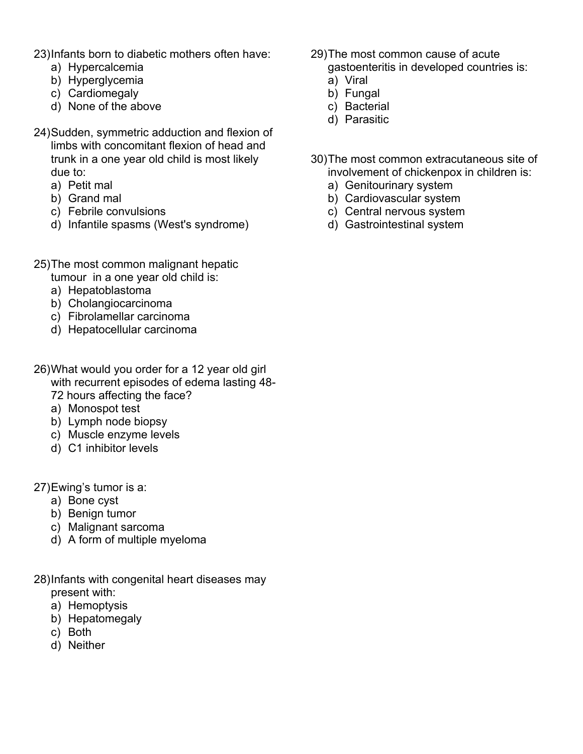23)Infants born to diabetic mothers often have:

- a) Hypercalcemia
- b) Hyperglycemia
- c) Cardiomegaly
- d) None of the above
- 24)Sudden, symmetric adduction and flexion of limbs with concomitant flexion of head and trunk in a one year old child is most likely due to:
	- a) Petit mal
	- b) Grand mal
	- c) Febrile convulsions
	- d) Infantile spasms (West's syndrome)
- 25)The most common malignant hepatic
	- tumour in a one year old child is:
	- a) Hepatoblastoma
	- b) Cholangiocarcinoma
	- c) Fibrolamellar carcinoma
	- d) Hepatocellular carcinoma
- 26)What would you order for a 12 year old girl with recurrent episodes of edema lasting 48- 72 hours affecting the face?
	- a) Monospot test
	- b) Lymph node biopsy
	- c) Muscle enzyme levels
	- d) C1 inhibitor levels

27)Ewing's tumor is a:

- a) Bone cyst
- b) Benign tumor
- c) Malignant sarcoma
- d) A form of multiple myeloma
- 28)Infants with congenital heart diseases may present with:
	- a) Hemoptysis
	- b) Hepatomegaly
	- c) Both
	- d) Neither
- 29)The most common cause of acute gastoenteritis in developed countries is:
	- a) Viral
	- b) Fungal
	- c) Bacterial
	- d) Parasitic
- 30)The most common extracutaneous site of involvement of chickenpox in children is:
	- a) Genitourinary system
	- b) Cardiovascular system
	- c) Central nervous system
	- d) Gastrointestinal system